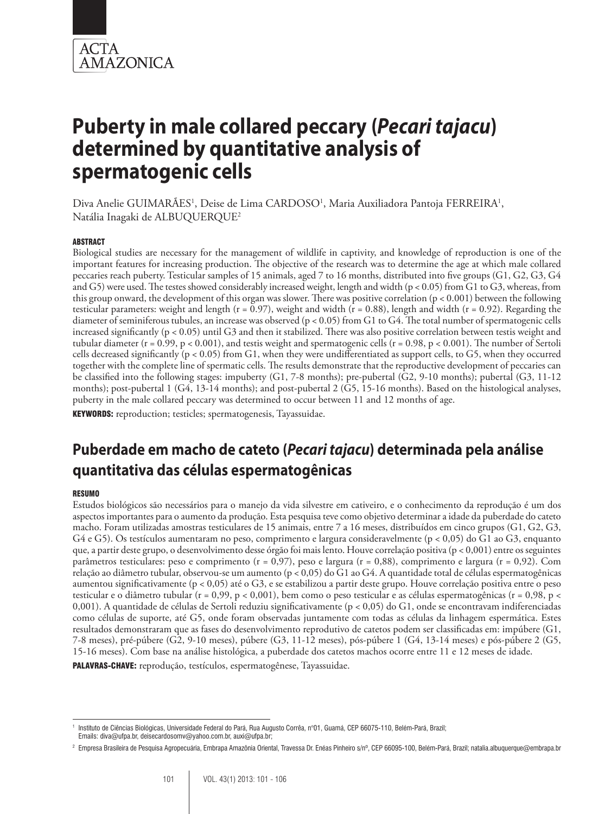

Diva Anelie GUIMARÃES<sup>1</sup>, Deise de Lima CARDOSO<sup>1</sup>, Maria Auxiliadora Pantoja FERREIRA<sup>1</sup>, Natália Inagaki de ALBUQUERQUE2

#### **ABSTRACT**

Biological studies are necessary for the management of wildlife in captivity, and knowledge of reproduction is one of the important features for increasing production. The objective of the research was to determine the age at which male collared peccaries reach puberty. Testicular samples of 15 animals, aged 7 to 16 months, distributed into five groups (G1, G2, G3, G4 and G5) were used. The testes showed considerably increased weight, length and width (p < 0.05) from G1 to G3, whereas, from this group onward, the development of this organ was slower. There was positive correlation (p < 0.001) between the following testicular parameters: weight and length ( $r = 0.97$ ), weight and width ( $r = 0.88$ ), length and width ( $r = 0.92$ ). Regarding the diameter of seminiferous tubules, an increase was observed (p < 0.05) from G1 to G4. The total number of spermatogenic cells increased significantly (p < 0.05) until G3 and then it stabilized. There was also positive correlation between testis weight and tubular diameter ( $r = 0.99$ ,  $p < 0.001$ ), and testis weight and spermatogenic cells ( $r = 0.98$ ,  $p < 0.001$ ). The number of Sertoli cells decreased significantly (p < 0.05) from G1, when they were undifferentiated as support cells, to G5, when they occurred together with the complete line of spermatic cells. The results demonstrate that the reproductive development of peccaries can be classified into the following stages: impuberty (G1, 7-8 months); pre-pubertal (G2, 9-10 months); pubertal (G3, 11-12 months); post-pubertal 1 (G4, 13-14 months); and post-pubertal 2 (G5, 15-16 months). Based on the histological analyses, puberty in the male collared peccary was determined to occur between 11 and 12 months of age.

KEYWORDS: reproduction; testicles; spermatogenesis, Tayassuidae.

# **Puberdade em macho de cateto (***Pecari tajacu***) determinada pela análise quantitativa das células espermatogênicas**

#### Resumo

Estudos biológicos são necessários para o manejo da vida silvestre em cativeiro, e o conhecimento da reprodução é um dos aspectos importantes para o aumento da produção. Esta pesquisa teve como objetivo determinar a idade da puberdade do cateto macho. Foram utilizadas amostras testiculares de 15 animais, entre 7 a 16 meses, distribuídos em cinco grupos (G1, G2, G3, G4 e G5). Os testículos aumentaram no peso, comprimento e largura consideravelmente (p < 0,05) do G1 ao G3, enquanto que, a partir deste grupo, o desenvolvimento desse órgão foi mais lento. Houve correlação positiva (p < 0,001) entre os seguintes parâmetros testiculares: peso e comprimento (r = 0,97), peso e largura (r = 0,88), comprimento e largura (r = 0,92). Com relação ao diâmetro tubular, observou-se um aumento (p < 0,05) do G1 ao G4. A quantidade total de células espermatogênicas aumentou significativamente (p < 0,05) até o G3, e se estabilizou a partir deste grupo. Houve correlação positiva entre o peso testicular e o diâmetro tubular (r = 0,99, p < 0,001), bem como o peso testicular e as células espermatogênicas (r = 0,98, p < 0,001). A quantidade de células de Sertoli reduziu significativamente (p < 0,05) do G1, onde se encontravam indiferenciadas como células de suporte, até G5, onde foram observadas juntamente com todas as células da linhagem espermática. Estes resultados demonstraram que as fases do desenvolvimento reprodutivo de catetos podem ser classificadas em: impúbere (G1, 7-8 meses), pré-púbere (G2, 9-10 meses), púbere (G3, 11-12 meses), pós-púbere 1 (G4, 13-14 meses) e pós-púbere 2 (G5, 15-16 meses). Com base na análise histológica, a puberdade dos catetos machos ocorre entre 11 e 12 meses de idade. PALAVRAS-CHAVE: reprodução, testículos, espermatogênese, Tayassuidae.

<sup>1</sup> Instituto de Ciências Biológicas, Universidade Federal do Pará, Rua Augusto Corrêa, n°01, Guamá, CEP 66075-110, Belém-Pará, Brazil; Emails: diva@ufpa.br, deisecardosomv@yahoo.com.br, auxi@ufpa.br;

<sup>2</sup> Empresa Brasileira de Pesquisa Agropecuária, Embrapa Amazônia Oriental, Travessa Dr. Enéas Pinheiro s/nº, CEP 66095-100, Belém-Pará, Brazil; natalia.albuquerque@embrapa.br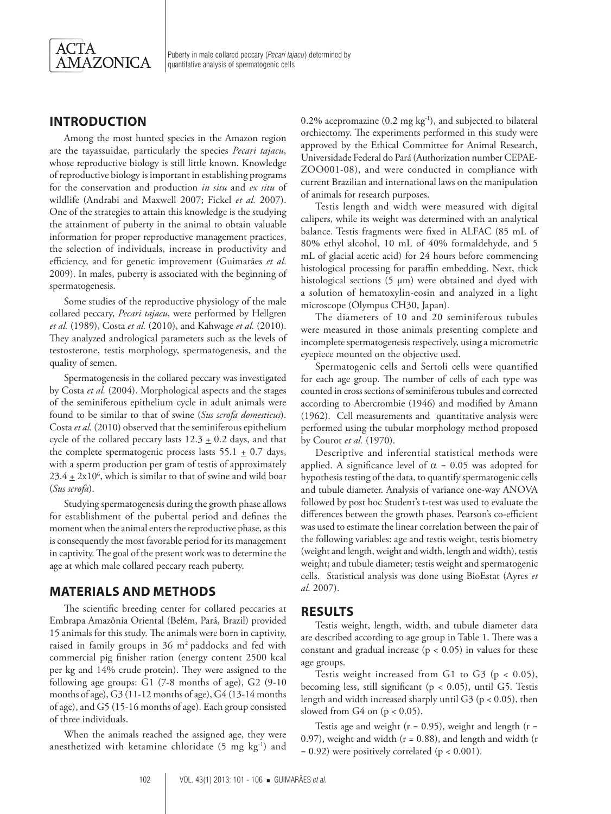

## **Introduction**

Among the most hunted species in the Amazon region are the tayassuidae, particularly the species *Pecari tajacu,* whose reproductive biology is still little known. Knowledge of reproductive biology is important in establishing programs for the conservation and production *in situ* and *ex situ* of wildlife (Andrabi and Maxwell 2007; Fickel *et al.* 2007). One of the strategies to attain this knowledge is the studying the attainment of puberty in the animal to obtain valuable information for proper reproductive management practices, the selection of individuals, increase in productivity and efficiency, and for genetic improvement (Guimarães *et al*. 2009). In males, puberty is associated with the beginning of spermatogenesis.

Some studies of the reproductive physiology of the male collared peccary, *Pecari tajacu*, were performed by Hellgren *et al.* (1989), Costa *et al.* (2010), and Kahwage *et al.* (2010). They analyzed andrological parameters such as the levels of testosterone, testis morphology, spermatogenesis, and the quality of semen.

Spermatogenesis in the collared peccary was investigated by Costa *et al.* (2004). Morphological aspects and the stages of the seminiferous epithelium cycle in adult animals were found to be similar to that of swine (*Sus scrofa domesticus*). Costa *et al.* (2010) observed that the seminiferous epithelium cycle of the collared peccary lasts  $12.3 \pm 0.2$  days, and that the complete spermatogenic process lasts  $55.1 \pm 0.7$  days, with a sperm production per gram of testis of approximately  $23.4 \pm 2x10^6$ , which is similar to that of swine and wild boar (*Sus scrofa*).

Studying spermatogenesis during the growth phase allows for establishment of the pubertal period and defines the moment when the animal enters the reproductive phase, as this is consequently the most favorable period for its management in captivity. The goal of the present work was to determine the age at which male collared peccary reach puberty.

#### **Materials and Methods**

The scientific breeding center for collared peccaries at Embrapa Amazônia Oriental (Belém, Pará, Brazil) provided 15 animals for this study. The animals were born in captivity, raised in family groups in 36 m2 paddocks and fed with commercial pig finisher ration (energy content 2500 kcal per kg and 14% crude protein). They were assigned to the following age groups: G1 (7-8 months of age), G2 (9-10 months of age), G3 (11-12 months of age), G4 (13-14 months of age), and G5 (15-16 months of age). Each group consisted of three individuals.

When the animals reached the assigned age, they were anesthetized with ketamine chloridate (5 mg kg-1) and 0.2% acepromazine (0.2 mg kg-1), and subjected to bilateral orchiectomy. The experiments performed in this study were approved by the Ethical Committee for Animal Research, Universidade Federal do Pará (Authorization number CEPAE-ZOO001-08), and were conducted in compliance with current Brazilian and international laws on the manipulation of animals for research purposes.

Testis length and width were measured with digital calipers, while its weight was determined with an analytical balance. Testis fragments were fixed in ALFAC (85 mL of 80% ethyl alcohol, 10 mL of 40% formaldehyde, and 5 mL of glacial acetic acid) for 24 hours before commencing histological processing for paraffin embedding. Next, thick histological sections (5 μm) were obtained and dyed with a solution of hematoxylin-eosin and analyzed in a light microscope (Olympus CH30, Japan).

The diameters of 10 and 20 seminiferous tubules were measured in those animals presenting complete and incomplete spermatogenesis respectively, using a micrometric eyepiece mounted on the objective used.

Spermatogenic cells and Sertoli cells were quantified for each age group. The number of cells of each type was counted in cross sections of seminiferous tubules and corrected according to Abercrombie (1946) and modified by Amann (1962). Cell measurements and quantitative analysis were performed using the tubular morphology method proposed by Courot *et al.* (1970).

Descriptive and inferential statistical methods were applied. A significance level of  $\alpha = 0.05$  was adopted for hypothesis testing of the data, to quantify spermatogenic cells and tubule diameter. Analysis of variance one-way ANOVA followed by post hoc Student's t-test was used to evaluate the differences between the growth phases. Pearson's co-efficient was used to estimate the linear correlation between the pair of the following variables: age and testis weight, testis biometry (weight and length, weight and width, length and width), testis weight; and tubule diameter; testis weight and spermatogenic cells. Statistical analysis was done using BioEstat (Ayres *et al.* 2007).

#### **Results**

Testis weight, length, width, and tubule diameter data are described according to age group in Table 1. There was a constant and gradual increase  $(p < 0.05)$  in values for these age groups.

Testis weight increased from G1 to G3 ( $p < 0.05$ ), becoming less, still significant (p < 0.05), until G5. Testis length and width increased sharply until G3 (p < 0.05), then slowed from G4 on  $(p < 0.05)$ .

Testis age and weight ( $r = 0.95$ ), weight and length ( $r =$ 0.97), weight and width  $(r = 0.88)$ , and length and width  $(r = 0.88)$  $= 0.92$ ) were positively correlated (p < 0.001).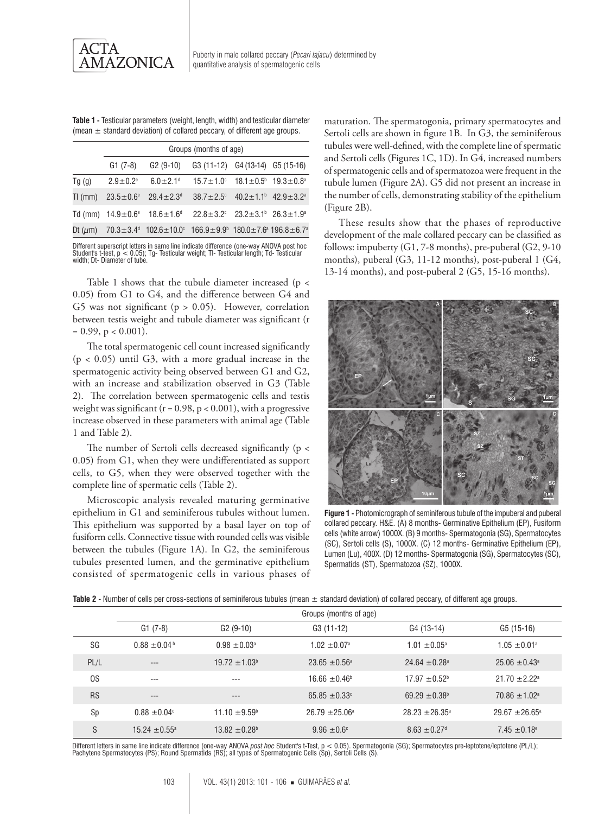

**Table 1 -** Testicular parameters (weight, length, width) and testicular diameter (mean  $\pm$  standard deviation) of collared peccary, of different age groups.

|             | Groups (months of age)     |                                                                                                                                  |                                                                                            |  |  |  |  |
|-------------|----------------------------|----------------------------------------------------------------------------------------------------------------------------------|--------------------------------------------------------------------------------------------|--|--|--|--|
|             | $G1 (7-8)$                 |                                                                                                                                  | G <sub>2</sub> (9-10) G <sub>3</sub> (11-12) G <sub>4</sub> (13-14) G <sub>5</sub> (15-16) |  |  |  |  |
| Tg(g)       | $2.9 \pm 0.2$ <sup>e</sup> | $6.0 + 2.1$ <sup>d</sup>                                                                                                         | $15.7 \pm 1.0^{\circ}$ $18.1 \pm 0.5^{\circ}$ $19.3 \pm 0.8^{\circ}$                       |  |  |  |  |
| TI ( $mm$ ) |                            | $23.5 \pm 0.6^{\circ}$ 29.4 $\pm 2.3^{\circ}$                                                                                    | $38.7 \pm 2.5$ ° $40.2 \pm 1.1$ <sup>b</sup> $42.9 \pm 3.2$ <sup>a</sup>                   |  |  |  |  |
|             |                            | Td (mm) $14.9 \pm 0.6^{\circ}$ $18.6 \pm 1.6^{\circ}$ $22.8 \pm 3.2^{\circ}$ $23.2 \pm 3.1^{\circ}$ $26.3 \pm 1.9^{\circ}$       |                                                                                            |  |  |  |  |
|             |                            | Dt ( $\mu$ m) 70.3±3.4 <sup>d</sup> 102.6±10.0 <sup>c</sup> 166.9±9.9 <sup>b</sup> 180.0±7.6 <sup>a</sup> 196.8±6.7 <sup>a</sup> |                                                                                            |  |  |  |  |

Different superscript letters in same line indicate difference (one-way ANOVA post hoc Student's t-test, p < 0.05); Tg- Testicular weight; Tl- Testicular length; Td- Testicular width; Dt- Diameter of tube.

Table 1 shows that the tubule diameter increased (p < 0.05) from G1 to G4, and the difference between G4 and G5 was not significant ( $p > 0.05$ ). However, correlation between testis weight and tubule diameter was significant (r  $= 0.99$ ,  $p < 0.001$ ).

The total spermatogenic cell count increased significantly  $(p < 0.05)$  until G3, with a more gradual increase in the spermatogenic activity being observed between G1 and G2, with an increase and stabilization observed in G3 (Table 2). The correlation between spermatogenic cells and testis weight was significant ( $r = 0.98$ ,  $p < 0.001$ ), with a progressive increase observed in these parameters with animal age (Table 1 and Table 2).

The number of Sertoli cells decreased significantly (p < 0.05) from G1, when they were undifferentiated as support cells, to G5, when they were observed together with the complete line of spermatic cells (Table 2).

Microscopic analysis revealed maturing germinative epithelium in G1 and seminiferous tubules without lumen. This epithelium was supported by a basal layer on top of fusiform cells. Connective tissue with rounded cells was visible between the tubules (Figure 1A). In G2, the seminiferous tubules presented lumen, and the germinative epithelium consisted of spermatogenic cells in various phases of maturation. The spermatogonia, primary spermatocytes and Sertoli cells are shown in figure 1B. In G3, the seminiferous tubules were well-defined, with the complete line of spermatic and Sertoli cells (Figures 1C, 1D). In G4, increased numbers of spermatogenic cells and of spermatozoa were frequent in the tubule lumen (Figure 2A). G5 did not present an increase in the number of cells, demonstrating stability of the epithelium (Figure 2B).

These results show that the phases of reproductive development of the male collared peccary can be classified as follows: impuberty (G1, 7-8 months), pre-puberal (G2, 9-10 months), puberal (G3, 11-12 months), post-puberal 1 (G4, 13-14 months), and post-puberal 2 (G5, 15-16 months).



**Figure 1 -** Photomicrograph of seminiferous tubule of the impuberal and puberal collared peccary. H&E. (A) 8 months- Germinative Epithelium (EP), Fusiform cells (white arrow) 1000X. (B) 9 months- Spermatogonia (SG), Spermatocytes (SC), Sertoli cells (S), 1000X. (C) 12 months- Germinative Epithelium (EP), Lumen (Lu), 400X. (D) 12 months- Spermatogonia (SG), Spermatocytes (SC), Spermatids (ST), Spermatozoa (SZ), 1000X.

| Table 2 - Number of cells per cross-sections of seminiferous tubules (mean ± standard deviation) of collared peccary, of different age groups. |  |  |  |
|------------------------------------------------------------------------------------------------------------------------------------------------|--|--|--|
|------------------------------------------------------------------------------------------------------------------------------------------------|--|--|--|

|           | Groups (months of age) |                               |                              |                               |                              |  |  |
|-----------|------------------------|-------------------------------|------------------------------|-------------------------------|------------------------------|--|--|
|           | $G1 (7-8)$             | $G2(9-10)$                    | G3 (11-12)                   | G4 (13-14)                    | G5 (15-16)                   |  |  |
| SG        | $0.88 \pm 0.04$        | $0.98 \pm 0.03^{\circ}$       | $1.02 \pm 0.07$ <sup>a</sup> | $1.01 \pm 0.05^{\circ}$       | $1.05 \pm 0.01$ <sup>a</sup> |  |  |
| PL/L      | $---$                  | $19.72 \pm 1.03^{\circ}$      | $23.65 + 0.56^{\circ}$       | $24.64 + 0.28$ <sup>a</sup>   | $25.06 + 0.43$ <sup>a</sup>  |  |  |
| 0S        | $- - -$                | $---$                         | $16.66 \pm 0.46^{\circ}$     | $17.97 \pm 0.52$ <sup>b</sup> | $21.70 + 2.22$ <sup>a</sup>  |  |  |
| <b>RS</b> | $---$                  | $---$                         | 65.85 $\pm$ 0.33 $^{\circ}$  | $69.29 \pm 0.38$ <sup>b</sup> | $70.86 + 1.02a$              |  |  |
| Sp        | $0.88 \pm 0.04$ °      | $11.10 \pm 9.59^{\circ}$      | $26.79 \pm 25.06^{\circ}$    | $28.23 \pm 26.35^{\circ}$     | $29.67 \pm 26.65^{\circ}$    |  |  |
| S         | $15.24 + 0.55^{\circ}$ | $13.82 \pm 0.28$ <sup>b</sup> | $9.96 + 0.6$ <sup>c</sup>    | $8.63 \pm 0.27$ <sup>d</sup>  | $7.45 \pm 0.18$ <sup>e</sup> |  |  |

Different letters in same line indicate difference (one-way ANOVA*post hoc* Student's t-Test, p < 0.05). Spermatogonia (SG); Spermatocytes pre-leptotene/leptotene (PL/L);<br>Pachytene Spermatocytes (PS); Round Spermatids (RS)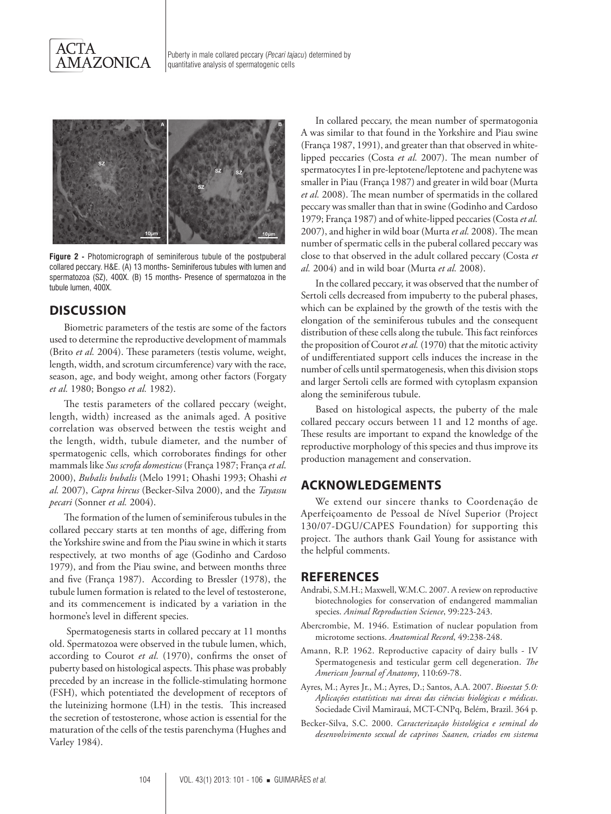



**Figure 2 -** Photomicrograph of seminiferous tubule of the postpuberal collared peccary. H&E. (A) 13 months- Seminiferous tubules with lumen and spermatozoa (SZ), 400X. (B) 15 months- Presence of spermatozoa in the tubule lumen, 400X.

## **Discussion**

Biometric parameters of the testis are some of the factors used to determine the reproductive development of mammals (Brito *et al.* 2004). These parameters (testis volume, weight, length, width, and scrotum circumference) vary with the race, season, age, and body weight, among other factors (Forgaty *et al.* 1980; Bongso *et al.* 1982).

The testis parameters of the collared peccary (weight, length, width) increased as the animals aged. A positive correlation was observed between the testis weight and the length, width, tubule diameter, and the number of spermatogenic cells, which corroborates findings for other mammals like *Sus scrofa domesticus* (França 1987; França *et al*. 2000), *Bubalis bubalis* (Melo 1991; Ohashi 1993; Ohashi *et al.* 2007), *Capra hircus* (Becker-Silva 2000), and the *Tayassu pecari* (Sonner *et al.* 2004).

The formation of the lumen of seminiferous tubules in the collared peccary starts at ten months of age, differing from the Yorkshire swine and from the Piau swine in which it starts respectively, at two months of age (Godinho and Cardoso 1979), and from the Piau swine, and between months three and five (França 1987). According to Bressler (1978), the tubule lumen formation is related to the level of testosterone, and its commencement is indicated by a variation in the hormone's level in different species.

 Spermatogenesis starts in collared peccary at 11 months old. Spermatozoa were observed in the tubule lumen, which, according to Courot *et al.* (1970), confirms the onset of puberty based on histological aspects. This phase was probably preceded by an increase in the follicle-stimulating hormone (FSH), which potentiated the development of receptors of the luteinizing hormone (LH) in the testis. This increased the secretion of testosterone, whose action is essential for the maturation of the cells of the testis parenchyma (Hughes and Varley 1984).

In collared peccary, the mean number of spermatogonia A was similar to that found in the Yorkshire and Piau swine (França 1987, 1991), and greater than that observed in whitelipped peccaries (Costa *et al.* 2007). The mean number of spermatocytes I in pre-leptotene/leptotene and pachytene was smaller in Piau (França 1987) and greater in wild boar (Murta *et al.* 2008). The mean number of spermatids in the collared peccary was smaller than that in swine (Godinho and Cardoso 1979; França 1987) and of white-lipped peccaries (Costa *et al.* 2007), and higher in wild boar (Murta *et al.* 2008). The mean number of spermatic cells in the puberal collared peccary was close to that observed in the adult collared peccary (Costa *et al.* 2004) and in wild boar (Murta *et al.* 2008).

In the collared peccary, it was observed that the number of Sertoli cells decreased from impuberty to the puberal phases, which can be explained by the growth of the testis with the elongation of the seminiferous tubules and the consequent distribution of these cells along the tubule. This fact reinforces the proposition of Courot *et al.* (1970) that the mitotic activity of undifferentiated support cells induces the increase in the number of cells until spermatogenesis, when this division stops and larger Sertoli cells are formed with cytoplasm expansion along the seminiferous tubule.

Based on histological aspects, the puberty of the male collared peccary occurs between 11 and 12 months of age. These results are important to expand the knowledge of the reproductive morphology of this species and thus improve its production management and conservation.

#### **Acknowledgements**

We extend our sincere thanks to Coordenação de Aperfeiçoamento de Pessoal de Nível Superior (Project 130/07-DGU/CAPES Foundation) for supporting this project. The authors thank Gail Young for assistance with the helpful comments.

#### **References**

- Andrabi, S.M.H.; Maxwell, W.M.C. 2007. A review on reproductive biotechnologies for conservation of endangered mammalian species. *Animal Reproduction Science*, 99:223-243.
- Abercrombie, M. 1946. Estimation of nuclear population from microtome sections. *Anatomical Record*, 49:238-248.
- Amann, R.P. 1962. Reproductive capacity of dairy bulls IV Spermatogenesis and testicular germ cell degeneration. *The American Journal of Anatomy*, 110:69-78.
- Ayres, M.; Ayres Jr., M.; Ayres, D.; Santos, A.A. 2007. *Bioestat 5.0: Aplicações estatísticas nas áreas das ciências biológicas e médicas*. Sociedade Civil Mamirauá, MCT-CNPq, Belém, Brazil. 364 p.
- Becker-Silva, S.C. 2000. *Caracterização histológica e seminal do desenvolvimento sexual de caprinos Saanen, criados em sistema*